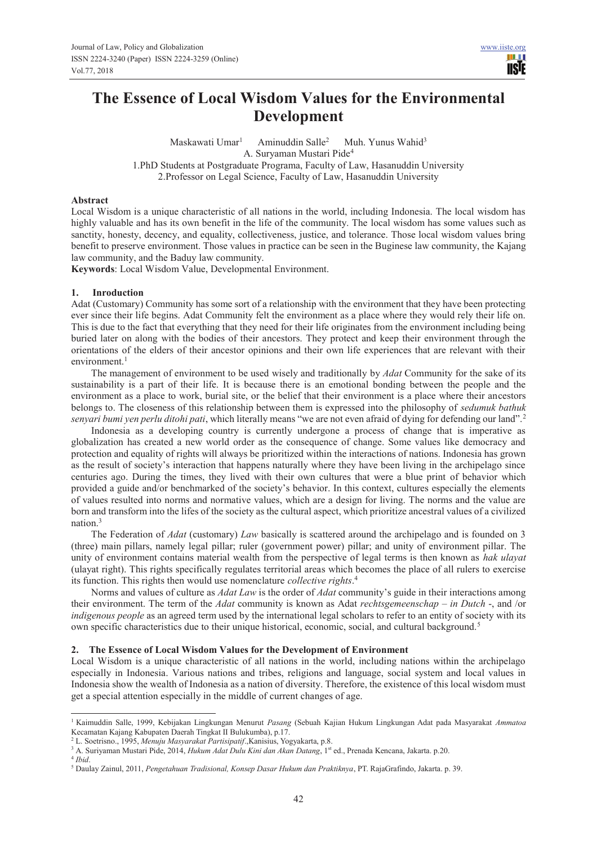# **The Essence of Local Wisdom Values for the Environmental Development**

Maskawati Umar<sup>1</sup> Aminuddin Salle<sup>2</sup> Muh. Yunus Wahid<sup>3</sup> A. Suryaman Mustari Pide<sup>4</sup> 1.PhD Students at Postgraduate Programa, Faculty of Law, Hasanuddin University 2.Professor on Legal Science, Faculty of Law, Hasanuddin University

#### **Abstract**

Local Wisdom is a unique characteristic of all nations in the world, including Indonesia. The local wisdom has highly valuable and has its own benefit in the life of the community. The local wisdom has some values such as sanctity, honesty, decency, and equality, collectiveness, justice, and tolerance. Those local wisdom values bring benefit to preserve environment. Those values in practice can be seen in the Buginese law community, the Kajang law community, and the Baduy law community.

**Keywords**: Local Wisdom Value, Developmental Environment.

#### **1. Inroduction**

Adat (Customary) Community has some sort of a relationship with the environment that they have been protecting ever since their life begins. Adat Community felt the environment as a place where they would rely their life on. This is due to the fact that everything that they need for their life originates from the environment including being buried later on along with the bodies of their ancestors. They protect and keep their environment through the orientations of the elders of their ancestor opinions and their own life experiences that are relevant with their environment. $<sup>1</sup>$ </sup>

The management of environment to be used wisely and traditionally by *Adat* Community for the sake of its sustainability is a part of their life. It is because there is an emotional bonding between the people and the environment as a place to work, burial site, or the belief that their environment is a place where their ancestors belongs to. The closeness of this relationship between them is expressed into the philosophy of *sedumuk bathuk senyari bumi yen perlu ditohi pati*, which literally means "we are not even afraid of dying for defending our land".<sup>2</sup>

Indonesia as a developing country is currently undergone a process of change that is imperative as globalization has created a new world order as the consequence of change. Some values like democracy and protection and equality of rights will always be prioritized within the interactions of nations. Indonesia has grown as the result of society's interaction that happens naturally where they have been living in the archipelago since centuries ago. During the times, they lived with their own cultures that were a blue print of behavior which provided a guide and/or benchmarked of the society's behavior. In this context, cultures especially the elements of values resulted into norms and normative values, which are a design for living. The norms and the value are born and transform into the lifes of the society as the cultural aspect, which prioritize ancestral values of a civilized nation.<sup>3</sup>

The Federation of *Adat* (customary) *Law* basically is scattered around the archipelago and is founded on 3 (three) main pillars, namely legal pillar; ruler (government power) pillar; and unity of environment pillar. The unity of environment contains material wealth from the perspective of legal terms is then known as *hak ulayat* (ulayat right). This rights specifically regulates territorial areas which becomes the place of all rulers to exercise its function. This rights then would use nomenclature *collective rights*. 4

Norms and values of culture as *Adat Law* is the order of *Adat* community's guide in their interactions among their environment. The term of the *Adat* community is known as Adat *rechtsgemeenschap – in Dutch* -, and /or *indigenous people* as an agreed term used by the international legal scholars to refer to an entity of society with its own specific characteristics due to their unique historical, economic, social, and cultural background.<sup>5</sup>

#### **2. The Essence of Local Wisdom Values for the Development of Environment**

Local Wisdom is a unique characteristic of all nations in the world, including nations within the archipelago especially in Indonesia. Various nations and tribes, religions and language, social system and local values in Indonesia show the wealth of Indonesia as a nation of diversity. Therefore, the existence of this local wisdom must get a special attention especially in the middle of current changes of age.

 1 Kaimuddin Salle, 1999, Kebijakan Lingkungan Menurut *Pasang* (Sebuah Kajian Hukum Lingkungan Adat pada Masyarakat *Ammatoa* Kecamatan Kajang Kabupaten Daerah Tingkat II Bulukumba), p.17.

<sup>2</sup> L. Soetrisno., 1995, *Menuju Masyarakat Partisipatif*.,Kanisius, Yogyakarta, p.8.

<sup>&</sup>lt;sup>3</sup> A. Suriyaman Mustari Pide, 2014, *Hukum Adat Dulu Kini dan Akan Datang*, 1<sup>st</sup> ed., Prenada Kencana, Jakarta. p.20.

<sup>4</sup> *Ibid*.

<sup>5</sup> Daulay Zainul, 2011, *Pengetahuan Tradisional, Konsep Dasar Hukum dan Praktiknya*, PT. RajaGrafindo, Jakarta. p. 39.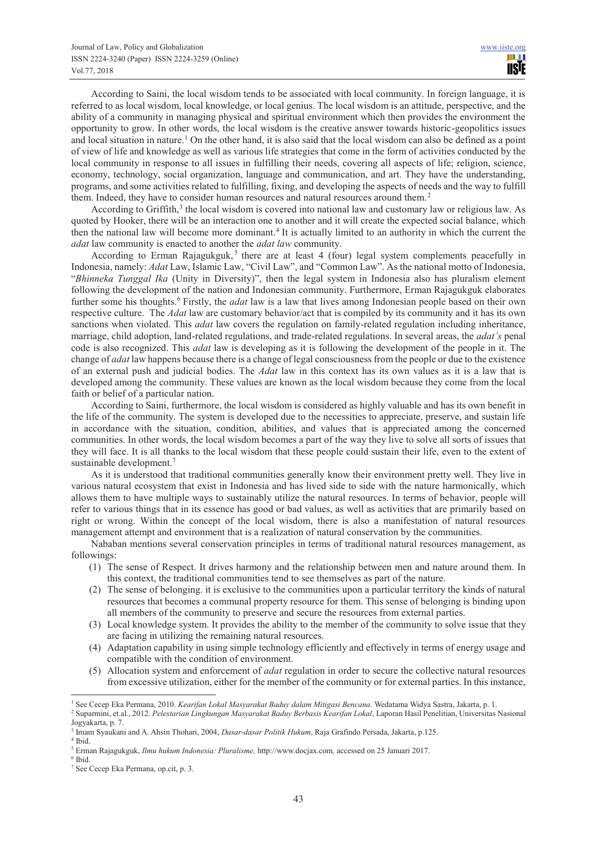According to Saini, the local wisdom tends to be associated with local community. In foreign language, it is referred to as local wisdom, local knowledge, or local genius. The local wisdom is an attitude, perspective, and the ability of a community in managing physical and spiritual environment which then provides the environment the opportunity to grow. In other words, the local wisdom is the creative answer towards historic-geopolitics issues and local situation in nature.<sup>1</sup> On the other hand, it is also said that the local wisdom can also be defined as a point of view of life and knowledge as well as various life strategies that come in the form of activities conducted by the local community in response to all issues in fulfilling their needs, covering all aspects of life; religion, science, economy, technology, social organization, language and communication, and art. They have the understanding, programs, and some activities related to fulfilling, fixing, and developing the aspects of needs and the way to fulfill them. Indeed, they have to consider human resources and natural resources around them.<sup>2</sup>

According to Griffith,<sup>3</sup> the local wisdom is covered into national law and customary law or religious law. As quoted by Hooker, there will be an interaction one to another and it will create the expected social balance, which then the national law will become more dominant.<sup>4</sup> It is actually limited to an authority in which the current the *adat* law community is enacted to another the *adat law* community.

According to Erman Rajagukguk,<sup>5</sup> there are at least 4 (four) legal system complements peacefully in Indonesia, namely: *Adat* Law, Islamic Law, "Civil Law", and "Common Law". As the national motto of Indonesia, "*Bhinneka Tunggal Ika* (Unity in Diversity)", then the legal system in Indonesia also has pluralism element following the development of the nation and Indonesian community. Furthermore, Erman Rajagukguk elaborates further some his thoughts.<sup>6</sup> Firstly, the *adat* law is a law that lives among Indonesian people based on their own respective culture. The *Adat* law are customary behavior/act that is compiled by its community and it has its own sanctions when violated. This *adat* law covers the regulation on family-related regulation including inheritance, marriage, child adoption, land-related regulations, and trade-related regulations. In several areas, the *adat's* penal code is also recognized. This *adat* law is developing as it is following the development of the people in it. The change of *adat* law happens because there is a change of legal consciousness from the people or due to the existence of an external push and judicial bodies. The *Adat* law in this context has its own values as it is a law that is developed among the community. These values are known as the local wisdom because they come from the local faith or belief of a particular nation.

According to Saini, furthermore, the local wisdom is considered as highly valuable and has its own benefit in the life of the community. The system is developed due to the necessities to appreciate, preserve, and sustain life in accordance with the situation, condition, abilities, and values that is appreciated among the concerned communities. In other words, the local wisdom becomes a part of the way they live to solve all sorts of issues that they will face. It is all thanks to the local wisdom that these people could sustain their life, even to the extent of sustainable development.<sup>7</sup>

As it is understood that traditional communities generally know their environment pretty well. They live in various natural ecosystem that exist in Indonesia and has lived side to side with the nature harmonically, which allows them to have multiple ways to sustainably utilize the natural resources. In terms of behavior, people will refer to various things that in its essence has good or bad values, as well as activities that are primarily based on right or wrong. Within the concept of the local wisdom, there is also a manifestation of natural resources management attempt and environment that is a realization of natural conservation by the communities.

Nababan mentions several conservation principles in terms of traditional natural resources management, as followings:

- (1) The sense of Respect. It drives harmony and the relationship between men and nature around them. In this context, the traditional communities tend to see themselves as part of the nature.
- (2) The sense of belonging. it is exclusive to the communities upon a particular territory the kinds of natural resources that becomes a communal property resource for them. This sense of belonging is binding upon all members of the community to preserve and secure the resources from external parties.
- (3) Local knowledge system. It provides the ability to the member of the community to solve issue that they are facing in utilizing the remaining natural resources.
- (4) Adaptation capability in using simple technology efficiently and effectively in terms of energy usage and compatible with the condition of environment.
- (5) Allocation system and enforcement of *adat* regulation in order to secure the collective natural resources from excessive utilization, either for the member of the community or for external parties. In this instance,

 $\overline{a}$ 

<sup>&</sup>lt;sup>1</sup> See Cecep Eka Permana, 2010. *Kearifan Lokal Masyarakat Baduy dalam Mitigasi Bencana*. Wedatama Widya Sastra, Jakarta, p. 1.

<sup>2</sup> Suparmini, et.al., 2012. *Pelestarian Lingkungan Masyarakat Baduy Berbasis Kearifan Lokal*, Laporan Hasil Penelitian, Universitas Nasional Jogyakarta, p. 7.

<sup>3</sup> Imam Syaukani and A. Ahsin Thohari, 2004, *Dasar-dasar Politik Hukum*, Raja Grafindo Persada, Jakarta, p.125.

<sup>4</sup> Ibid.

<sup>5</sup> Erman Rajagukguk, *Ilmu hukum Indonesia: Pluralisme,* http://www.docjax.com*,* accessed on 25 Januari 2017.

<sup>6</sup> Ibid.

<sup>7</sup> See Cecep Eka Permana, op.cit, p. 3.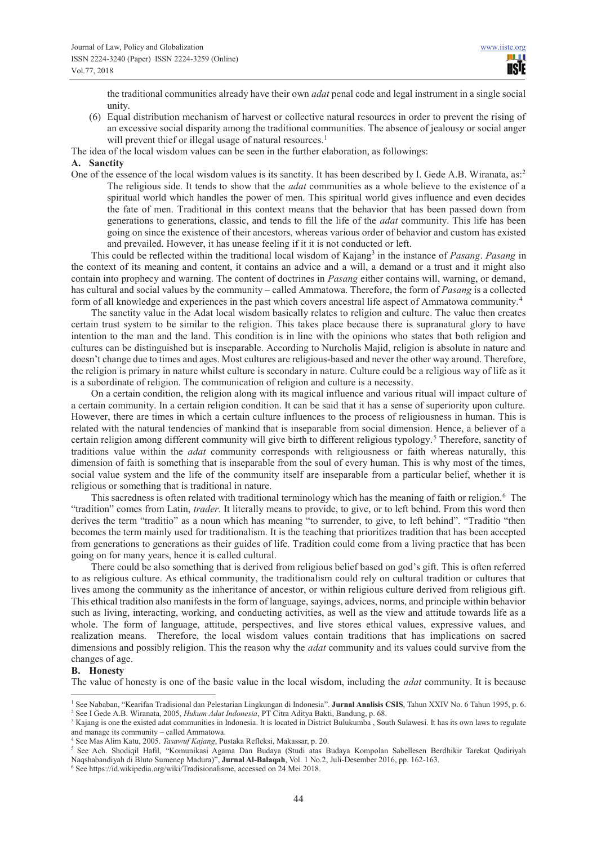the traditional communities already have their own *adat* penal code and legal instrument in a single social unity.

(6) Equal distribution mechanism of harvest or collective natural resources in order to prevent the rising of an excessive social disparity among the traditional communities. The absence of jealousy or social anger will prevent thief or illegal usage of natural resources.<sup>1</sup>

The idea of the local wisdom values can be seen in the further elaboration, as followings:

### **A. Sanctity**

One of the essence of the local wisdom values is its sanctity. It has been described by I. Gede A.B. Wiranata, as:<sup>2</sup> The religious side. It tends to show that the *adat* communities as a whole believe to the existence of a spiritual world which handles the power of men. This spiritual world gives influence and even decides the fate of men. Traditional in this context means that the behavior that has been passed down from generations to generations, classic, and tends to fill the life of the *adat* community. This life has been going on since the existence of their ancestors, whereas various order of behavior and custom has existed and prevailed. However, it has unease feeling if it it is not conducted or left.

This could be reflected within the traditional local wisdom of Kajang<sup>3</sup> in the instance of *Pasang*. *Pasang* in the context of its meaning and content, it contains an advice and a will, a demand or a trust and it might also contain into prophecy and warning. The content of doctrines in *Pasang* either contains will, warning, or demand, has cultural and social values by the community – called Ammatowa. Therefore, the form of *Pasang* is a collected form of all knowledge and experiences in the past which covers ancestral life aspect of Ammatowa community.<sup>4</sup>

The sanctity value in the Adat local wisdom basically relates to religion and culture. The value then creates certain trust system to be similar to the religion. This takes place because there is supranatural glory to have intention to the man and the land. This condition is in line with the opinions who states that both religion and cultures can be distinguished but is inseparable. According to Nurcholis Majid, religion is absolute in nature and doesn't change due to times and ages. Most cultures are religious-based and never the other way around. Therefore, the religion is primary in nature whilst culture is secondary in nature. Culture could be a religious way of life as it is a subordinate of religion. The communication of religion and culture is a necessity.

On a certain condition, the religion along with its magical influence and various ritual will impact culture of a certain community. In a certain religion condition. It can be said that it has a sense of superiority upon culture. However, there are times in which a certain culture influences to the process of religiousness in human. This is related with the natural tendencies of mankind that is inseparable from social dimension. Hence, a believer of a certain religion among different community will give birth to different religious typology.<sup>5</sup> Therefore, sanctity of traditions value within the *adat* community corresponds with religiousness or faith whereas naturally, this dimension of faith is something that is inseparable from the soul of every human. This is why most of the times, social value system and the life of the community itself are inseparable from a particular belief, whether it is religious or something that is traditional in nature.

This sacredness is often related with traditional terminology which has the meaning of faith or religion.<sup>6</sup> The "tradition" comes from Latin, *trader.* It literally means to provide, to give, or to left behind. From this word then derives the term "traditio" as a noun which has meaning "to surrender, to give, to left behind". "Traditio "then becomes the term mainly used for traditionalism. It is the teaching that prioritizes tradition that has been accepted from generations to generations as their guides of life. Tradition could come from a living practice that has been going on for many years, hence it is called cultural.

There could be also something that is derived from religious belief based on god's gift. This is often referred to as religious culture. As ethical community, the traditionalism could rely on cultural tradition or cultures that lives among the community as the inheritance of ancestor, or within religious culture derived from religious gift. This ethical tradition also manifests in the form of language, sayings, advices, norms, and principle within behavior such as living, interacting, working, and conducting activities, as well as the view and attitude towards life as a whole. The form of language, attitude, perspectives, and live stores ethical values, expressive values, and realization means. Therefore, the local wisdom values contain traditions that has implications on sacred dimensions and possibly religion. This the reason why the *adat* community and its values could survive from the changes of age.

#### **B. Honesty**

The value of honesty is one of the basic value in the local wisdom, including the *adat* community. It is because

 $\overline{a}$ 1 See Nababan, "Kearifan Tradisional dan Pelestarian Lingkungan di Indonesia". **Jurnal Analisis CSIS**, Tahun XXIV No. 6 Tahun 1995, p. 6. 2 See I Gede A.B. Wiranata, 2005, *Hukum Adat Indonesia*, PT Citra Aditya Bakti, Bandung, p. 68.

<sup>&</sup>lt;sup>3</sup> Kajang is one the existed adat communities in Indonesia. It is located in District Bulukumba, South Sulawesi. It has its own laws to regulate and manage its community – called Ammatowa.

<sup>4</sup> See Mas Alim Katu, 2005. *Tasawuf Kajang*, Pustaka Refleksi, Makassar, p. 20.

<sup>5</sup> See Ach. Shodiqil Hafil, "Komunikasi Agama Dan Budaya (Studi atas Budaya Kompolan Sabellesen Berdhikir Tarekat Qadiriyah Naqshabandiyah di Bluto Sumenep Madura)", **Jurnal Al-Balaqah**, Vol. 1 No.2, Juli-Desember 2016, pp. 162-163.

<sup>6</sup> See https://id.wikipedia.org/wiki/Tradisionalisme, accessed on 24 Mei 2018.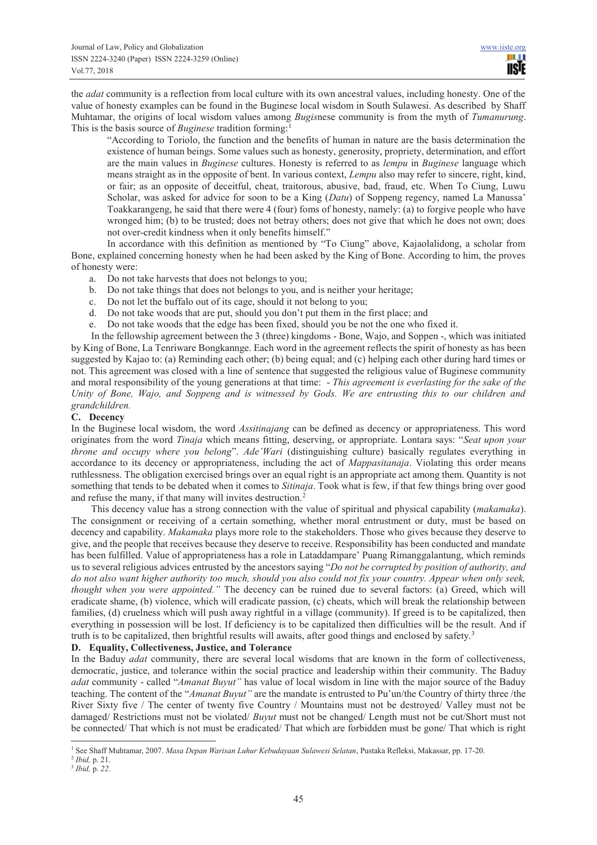the *adat* community is a reflection from local culture with its own ancestral values, including honesty. One of the value of honesty examples can be found in the Buginese local wisdom in South Sulawesi. As described by Shaff Muhtamar, the origins of local wisdom values among *Bugis*nese community is from the myth of *Tumanurung*. This is the basis source of *Buginese* tradition forming:<sup>1</sup>

"According to Toriolo, the function and the benefits of human in nature are the basis determination the existence of human beings. Some values such as honesty, generosity, propriety, determination, and effort are the main values in *Buginese* cultures. Honesty is referred to as *lempu* in *Buginese* language which means straight as in the opposite of bent. In various context, *Lempu* also may refer to sincere, right, kind, or fair; as an opposite of deceitful, cheat, traitorous, abusive, bad, fraud, etc. When To Ciung, Luwu Scholar, was asked for advice for soon to be a King (*Datu*) of Soppeng regency, named La Manussa' Toakkarangeng, he said that there were 4 (four) foms of honesty, namely: (a) to forgive people who have wronged him; (b) to be trusted; does not betray others; does not give that which he does not own; does not over-credit kindness when it only benefits himself."

In accordance with this definition as mentioned by "To Ciung" above, Kajaolalidong, a scholar from Bone, explained concerning honesty when he had been asked by the King of Bone. According to him, the proves of honesty were:

a. Do not take harvests that does not belongs to you;

- b. Do not take things that does not belongs to you, and is neither your heritage;
- c. Do not let the buffalo out of its cage, should it not belong to you;
- d. Do not take woods that are put, should you don't put them in the first place; and
- e. Do not take woods that the edge has been fixed, should you be not the one who fixed it.

In the fellowship agreement between the 3 (three) kingdoms - Bone, Wajo, and Soppen -, which was initiated by King of Bone, La Tenriware Bongkannge. Each word in the agreement reflects the spirit of honesty as has been suggested by Kajao to: (a) Reminding each other; (b) being equal; and (c) helping each other during hard times or not. This agreement was closed with a line of sentence that suggested the religious value of Buginese community and moral responsibility of the young generations at that time: - *This agreement is everlasting for the sake of the Unity of Bone, Wajo, and Soppeng and is witnessed by Gods. We are entrusting this to our children and grandchildren.*

# **C. Decency**

In the Buginese local wisdom, the word *Assitinajang* can be defined as decency or appropriateness. This word originates from the word *Tinaja* which means fitting, deserving, or appropriate. Lontara says: "*Seat upon your throne and occupy where you belong*". *Ade'Wari* (distinguishing culture) basically regulates everything in accordance to its decency or appropriateness, including the act of *Mappasitanaja*. Violating this order means ruthlessness. The obligation exercised brings over an equal right is an appropriate act among them. Quantity is not something that tends to be debated when it comes to *Sitinaja*. Took what is few, if that few things bring over good and refuse the many, if that many will invites destruction.<sup>2</sup>

This decency value has a strong connection with the value of spiritual and physical capability (*makamaka*). The consignment or receiving of a certain something, whether moral entrustment or duty, must be based on decency and capability. *Makamaka* plays more role to the stakeholders. Those who gives because they deserve to give, and the people that receives because they deserve to receive. Responsibility has been conducted and mandate has been fulfilled. Value of appropriateness has a role in Lataddampare' Puang Rimanggalantung, which reminds us to several religious advices entrusted by the ancestors saying "*Do not be corrupted by position of authority, and do not also want higher authority too much, should you also could not fix your country. Appear when only seek, thought when you were appointed.*" The decency can be ruined due to several factors: (a) Greed, which will eradicate shame, (b) violence, which will eradicate passion, (c) cheats, which will break the relationship between families, (d) cruelness which will push away rightful in a village (community). If greed is to be capitalized, then everything in possession will be lost. If deficiency is to be capitalized then difficulties will be the result. And if truth is to be capitalized, then brightful results will awaits, after good things and enclosed by safety.<sup>3</sup>

# **D. Equality, Collectiveness, Justice, and Tolerance**

In the Baduy *adat* community, there are several local wisdoms that are known in the form of collectiveness, democratic, justice, and tolerance within the social practice and leadership within their community. The Baduy *adat* community - called "*Amanat Buyut"* has value of local wisdom in line with the major source of the Baduy teaching. The content of the "*Amanat Buyut"* are the mandate is entrusted to Pu'un/the Country of thirty three /the River Sixty five / The center of twenty five Country / Mountains must not be destroyed/ Valley must not be damaged/ Restrictions must not be violated/ *Buyut* must not be changed/ Length must not be cut/Short must not be connected/ That which is not must be eradicated/ That which are forbidden must be gone/ That which is right

 $\overline{a}$ 1 See Shaff Muhtamar, 2007. *Masa Depan Warisan Luhur Kebudayaan Sulawesi Selatan*, Pustaka Refleksi, Makassar, pp. 17-20.

<sup>2</sup> *Ibid,* p. 21.

<sup>3</sup> *Ibid,* p. *22*.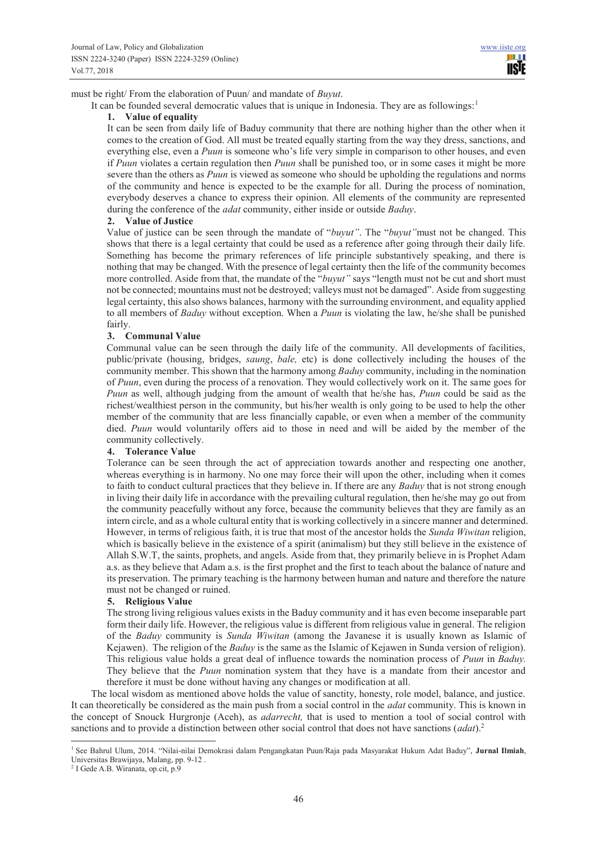n e **IISTE** 

must be right/ From the elaboration of Puun/ and mandate of *Buyut*.

It can be founded several democratic values that is unique in Indonesia. They are as followings:<sup>1</sup>

### **1. Value of equality**

It can be seen from daily life of Baduy community that there are nothing higher than the other when it comes to the creation of God. All must be treated equally starting from the way they dress, sanctions, and everything else, even a *Puun* is someone who's life very simple in comparison to other houses, and even if *Puun* violates a certain regulation then *Puun* shall be punished too, or in some cases it might be more severe than the others as *Puun* is viewed as someone who should be upholding the regulations and norms of the community and hence is expected to be the example for all. During the process of nomination, everybody deserves a chance to express their opinion. All elements of the community are represented during the conference of the *adat* community, either inside or outside *Baduy*.

# **2. Value of Justice**

Value of justice can be seen through the mandate of "*buyut*". The "*buyut*" must not be changed. This shows that there is a legal certainty that could be used as a reference after going through their daily life. Something has become the primary references of life principle substantively speaking, and there is nothing that may be changed. With the presence of legal certainty then the life of the community becomes more controlled. Aside from that, the mandate of the "*buyut"* says "length must not be cut and short must not be connected; mountains must not be destroyed; valleys must not be damaged". Aside from suggesting legal certainty, this also shows balances, harmony with the surrounding environment, and equality applied to all members of *Baduy* without exception. When a *Puun* is violating the law, he/she shall be punished fairly.

# **3. Communal Value**

Communal value can be seen through the daily life of the community. All developments of facilities, public/private (housing, bridges, *saung*, *bale,* etc) is done collectively including the houses of the community member. This shown that the harmony among *Baduy* community, including in the nomination of *Puun*, even during the process of a renovation. They would collectively work on it. The same goes for *Puun* as well, although judging from the amount of wealth that he/she has, *Puun* could be said as the richest/wealthiest person in the community, but his/her wealth is only going to be used to help the other member of the community that are less financially capable, or even when a member of the community died. *Puun* would voluntarily offers aid to those in need and will be aided by the member of the community collectively.

#### **4. Tolerance Value**

Tolerance can be seen through the act of appreciation towards another and respecting one another, whereas everything is in harmony. No one may force their will upon the other, including when it comes to faith to conduct cultural practices that they believe in. If there are any *Baduy* that is not strong enough in living their daily life in accordance with the prevailing cultural regulation, then he/she may go out from the community peacefully without any force, because the community believes that they are family as an intern circle, and as a whole cultural entity that is working collectively in a sincere manner and determined. However, in terms of religious faith, it is true that most of the ancestor holds the *Sunda Wiwitan* religion, which is basically believe in the existence of a spirit (animalism) but they still believe in the existence of Allah S.W.T, the saints, prophets, and angels. Aside from that, they primarily believe in is Prophet Adam a.s. as they believe that Adam a.s. is the first prophet and the first to teach about the balance of nature and its preservation. The primary teaching is the harmony between human and nature and therefore the nature must not be changed or ruined.

# **5. Religious Value**

The strong living religious values exists in the Baduy community and it has even become inseparable part form their daily life. However, the religious value is different from religious value in general. The religion of the *Baduy* community is *Sunda Wiwitan* (among the Javanese it is usually known as Islamic of Kejawen). The religion of the *Baduy* is the same as the Islamic of Kejawen in Sunda version of religion). This religious value holds a great deal of influence towards the nomination process of *Puun* in *Baduy.*  They believe that the *Puun* nomination system that they have is a mandate from their ancestor and therefore it must be done without having any changes or modification at all.

The local wisdom as mentioned above holds the value of sanctity, honesty, role model, balance, and justice. It can theoretically be considered as the main push from a social control in the *adat* community. This is known in the concept of Snouck Hurgronje (Aceh), as *adarrecht,* that is used to mention a tool of social control with sanctions and to provide a distinction between other social control that does not have sanctions (*adat*).<sup>2</sup>

 $\overline{a}$ 

<sup>1</sup> See Bahrul Ulum, 2014. "Nilai-nilai Demokrasi dalam Pengangkatan Puun/Raja pada Masyarakat Hukum Adat Baduy", **Jurnal Ilmiah**, Universitas Brawijaya, Malang, pp. 9-12 .

<sup>2</sup> I Gede A.B. Wiranata, op.cit, p.9